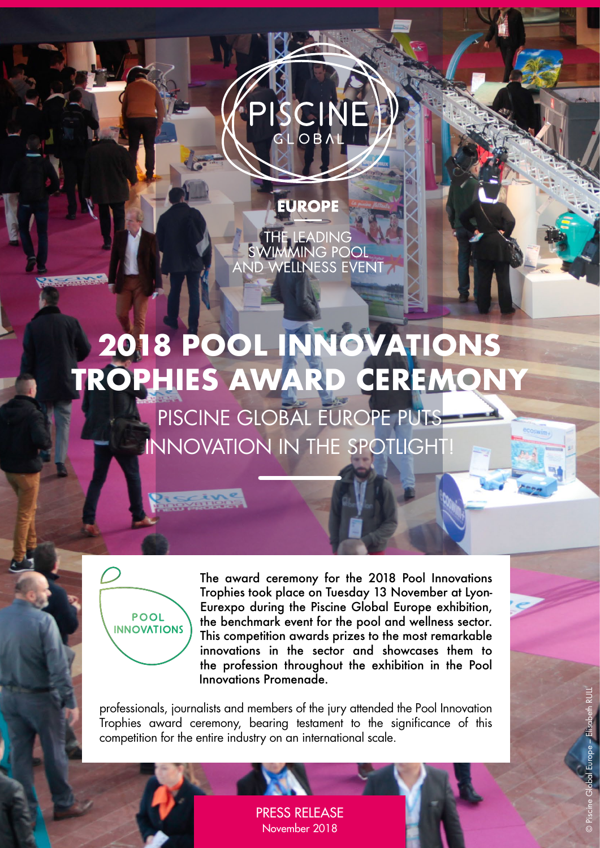# SCIN **GLOBA**

THE LEADING<br>SWIMMING POOL<br>AND WELLNESS EVENT

**EUROPE** 

# **2018 POOL INNOVATIONS TROPHIES AWARD CEREMONY**

PISCINE GLOBAL EUROPE PUTS INNOVATION IN THE SPOTLIGHT!



The award ceremony for the 2018 Pool Innovations Trophies took place on Tuesday 13 November at Lyon-Eurexpo during the Piscine Global Europe exhibition, the benchmark event for the pool and wellness sector. This competition awards prizes to the most remarkable innovations in the sector and showcases them to the profession throughout the exhibition in the Pool Innovations Promenade.

professionals, journalists and members of the jury attended the Pool Innovation Trophies award ceremony, bearing testament to the significance of this competition for the entire industry on an international scale.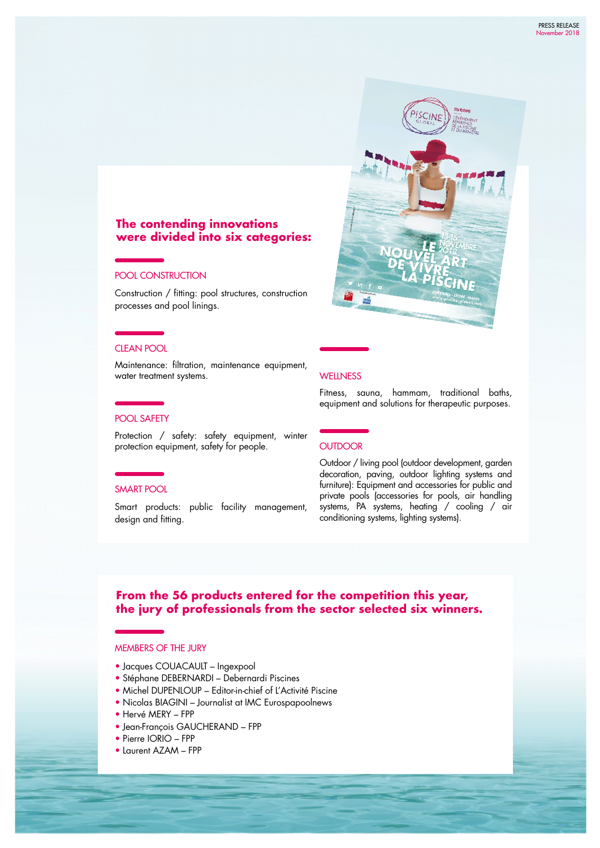

Maintenance: filtration, maintenance equipment, water treatment systems.

Construction / fitting: pool structures, construction

**were divided into six categories:**

**The contending innovations** 

# Fitness, sauna, hammam, traditional baths,

POOL SAFETY

POOL CONSTRUCTION

processes and pool linings.

Protection / safety: safety equipment, winter protection equipment, safety for people.

#### SMART POOL

CLEAN POOL

Smart products: public facility management, design and fitting.

## equipment and solutions for therapeutic purposes.

**WELLNESS** 

#### **OUTDOOR**

Outdoor / living pool (outdoor development, garden decoration, paving, outdoor lighting systems and furniture): Equipment and accessories for public and private pools (accessories for pools, air handling systems, PA systems, heating / cooling / air conditioning systems, lighting systems).

# **From the 56 products entered for the competition this year, the jury of professionals from the sector selected six winners.**

#### MEMBERS OF THE JURY

- Jacques COUACAULT Ingexpool
- Stéphane DEBERNARDI Debernardi Piscines
- Michel DUPENLOUP Editor-in-chief of L'Activité Piscine
- Nicolas BIAGINI Journalist at IMC Eurospapoolnews
- Hervé MERY FPP
- Jean-François GAUCHERAND FPP
- Pierre IORIO FPP
- Laurent AZAM FPP